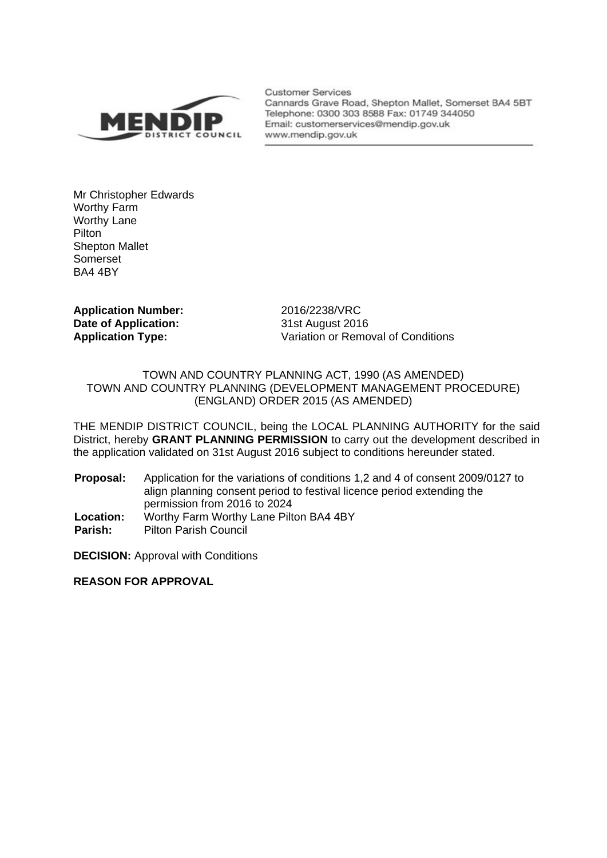

**Customer Services** Cannards Grave Road, Shepton Mallet, Somerset BA4 5BT Telephone: 0300 303 8588 Fax: 01749 344050 Email: customerservices@mendip.gov.uk www.mendip.gov.uk

Mr Christopher Edwards Worthy Farm Worthy Lane **Pilton** Shepton Mallet Somerset BA4 4BY

**Application Number:** 2016/2238/VRC **Date of Application:** 31st August 2016

**Application Type:** Variation or Removal of Conditions

## TOWN AND COUNTRY PLANNING ACT, 1990 (AS AMENDED) TOWN AND COUNTRY PLANNING (DEVELOPMENT MANAGEMENT PROCEDURE) (ENGLAND) ORDER 2015 (AS AMENDED)

THE MENDIP DISTRICT COUNCIL, being the LOCAL PLANNING AUTHORITY for the said District, hereby **GRANT PLANNING PERMISSION** to carry out the development described in the application validated on 31st August 2016 subject to conditions hereunder stated.

**Proposal:** Application for the variations of conditions 1,2 and 4 of consent 2009/0127 to align planning consent period to festival licence period extending the permission from 2016 to 2024 **Location:** Worthy Farm Worthy Lane Pilton BA4 4BY

**Parish:** Pilton Parish Council

**DECISION: Approval with Conditions** 

**REASON FOR APPROVAL**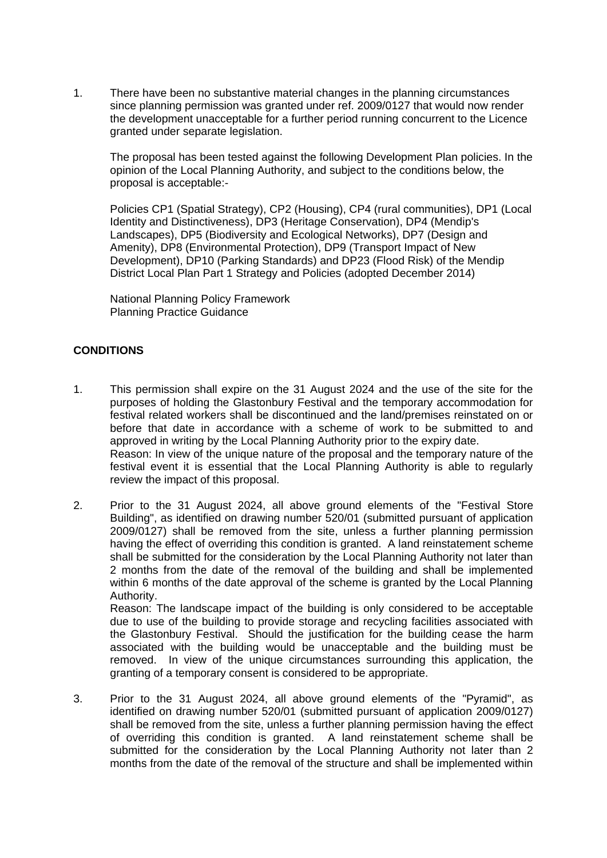1. There have been no substantive material changes in the planning circumstances since planning permission was granted under ref. 2009/0127 that would now render the development unacceptable for a further period running concurrent to the Licence granted under separate legislation.

The proposal has been tested against the following Development Plan policies. In the opinion of the Local Planning Authority, and subject to the conditions below, the proposal is acceptable:-

Policies CP1 (Spatial Strategy), CP2 (Housing), CP4 (rural communities), DP1 (Local Identity and Distinctiveness), DP3 (Heritage Conservation), DP4 (Mendip's Landscapes), DP5 (Biodiversity and Ecological Networks), DP7 (Design and Amenity), DP8 (Environmental Protection), DP9 (Transport Impact of New Development), DP10 (Parking Standards) and DP23 (Flood Risk) of the Mendip District Local Plan Part 1 Strategy and Policies (adopted December 2014)

National Planning Policy Framework Planning Practice Guidance

## **CONDITIONS**

- 1. This permission shall expire on the 31 August 2024 and the use of the site for the purposes of holding the Glastonbury Festival and the temporary accommodation for festival related workers shall be discontinued and the land/premises reinstated on or before that date in accordance with a scheme of work to be submitted to and approved in writing by the Local Planning Authority prior to the expiry date. Reason: In view of the unique nature of the proposal and the temporary nature of the festival event it is essential that the Local Planning Authority is able to regularly review the impact of this proposal.
- 2. Prior to the 31 August 2024, all above ground elements of the "Festival Store Building", as identified on drawing number 520/01 (submitted pursuant of application 2009/0127) shall be removed from the site, unless a further planning permission having the effect of overriding this condition is granted. A land reinstatement scheme shall be submitted for the consideration by the Local Planning Authority not later than 2 months from the date of the removal of the building and shall be implemented within 6 months of the date approval of the scheme is granted by the Local Planning Authority.

Reason: The landscape impact of the building is only considered to be acceptable due to use of the building to provide storage and recycling facilities associated with the Glastonbury Festival. Should the justification for the building cease the harm associated with the building would be unacceptable and the building must be removed. In view of the unique circumstances surrounding this application, the granting of a temporary consent is considered to be appropriate.

3. Prior to the 31 August 2024, all above ground elements of the "Pyramid", as identified on drawing number 520/01 (submitted pursuant of application 2009/0127) shall be removed from the site, unless a further planning permission having the effect of overriding this condition is granted. A land reinstatement scheme shall be submitted for the consideration by the Local Planning Authority not later than 2 months from the date of the removal of the structure and shall be implemented within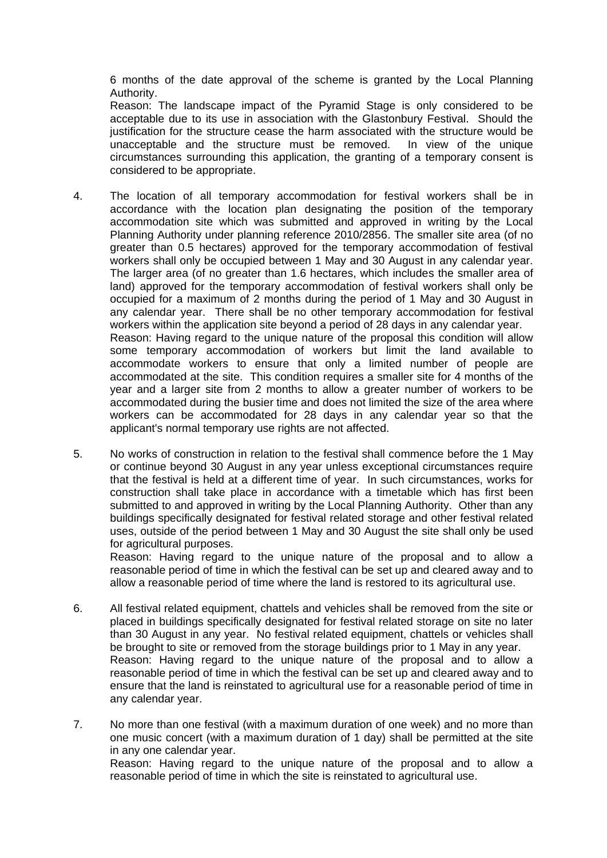6 months of the date approval of the scheme is granted by the Local Planning Authority.

Reason: The landscape impact of the Pyramid Stage is only considered to be acceptable due to its use in association with the Glastonbury Festival. Should the justification for the structure cease the harm associated with the structure would be unacceptable and the structure must be removed. In view of the unique circumstances surrounding this application, the granting of a temporary consent is considered to be appropriate.

- 4. The location of all temporary accommodation for festival workers shall be in accordance with the location plan designating the position of the temporary accommodation site which was submitted and approved in writing by the Local Planning Authority under planning reference 2010/2856. The smaller site area (of no greater than 0.5 hectares) approved for the temporary accommodation of festival workers shall only be occupied between 1 May and 30 August in any calendar year. The larger area (of no greater than 1.6 hectares, which includes the smaller area of land) approved for the temporary accommodation of festival workers shall only be occupied for a maximum of 2 months during the period of 1 May and 30 August in any calendar year. There shall be no other temporary accommodation for festival workers within the application site beyond a period of 28 days in any calendar year. Reason: Having regard to the unique nature of the proposal this condition will allow some temporary accommodation of workers but limit the land available to accommodate workers to ensure that only a limited number of people are accommodated at the site. This condition requires a smaller site for 4 months of the year and a larger site from 2 months to allow a greater number of workers to be accommodated during the busier time and does not limited the size of the area where workers can be accommodated for 28 days in any calendar year so that the applicant's normal temporary use rights are not affected.
- 5. No works of construction in relation to the festival shall commence before the 1 May or continue beyond 30 August in any year unless exceptional circumstances require that the festival is held at a different time of year. In such circumstances, works for construction shall take place in accordance with a timetable which has first been submitted to and approved in writing by the Local Planning Authority. Other than any buildings specifically designated for festival related storage and other festival related uses, outside of the period between 1 May and 30 August the site shall only be used for agricultural purposes.

Reason: Having regard to the unique nature of the proposal and to allow a reasonable period of time in which the festival can be set up and cleared away and to allow a reasonable period of time where the land is restored to its agricultural use.

- 6. All festival related equipment, chattels and vehicles shall be removed from the site or placed in buildings specifically designated for festival related storage on site no later than 30 August in any year. No festival related equipment, chattels or vehicles shall be brought to site or removed from the storage buildings prior to 1 May in any year. Reason: Having regard to the unique nature of the proposal and to allow a reasonable period of time in which the festival can be set up and cleared away and to ensure that the land is reinstated to agricultural use for a reasonable period of time in any calendar year.
- 7. No more than one festival (with a maximum duration of one week) and no more than one music concert (with a maximum duration of 1 day) shall be permitted at the site in any one calendar year. Reason: Having regard to the unique nature of the proposal and to allow a reasonable period of time in which the site is reinstated to agricultural use.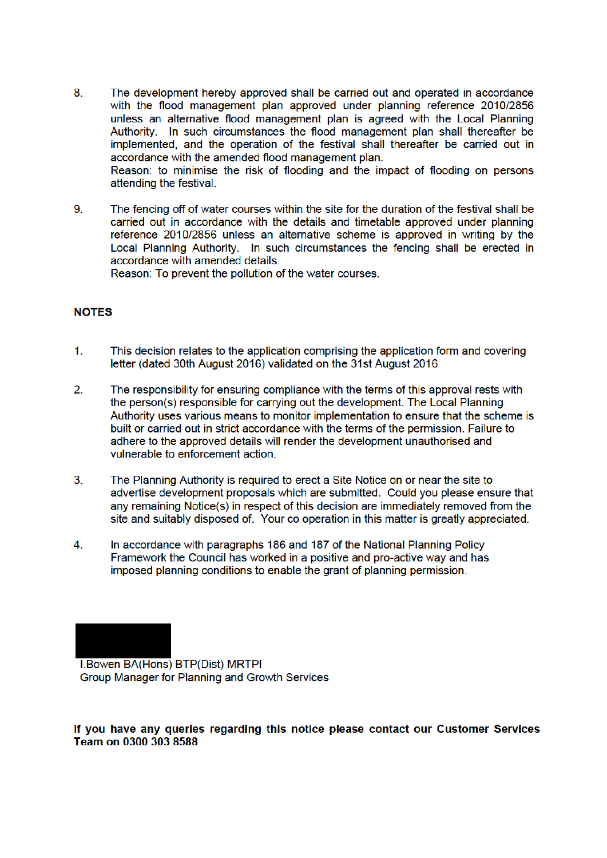- 8. The development hereby approved shall be carried out and operated in accordance with the flood management plan approved under planning reference 2010/2856 unless an alternative flood management plan is agreed with the Local Planning Authority. In such circumstances the flood management plan shall thereafter be implemented, and the operation of the festival shall thereafter be carried out in accordance with the amended flood management plan. Reason: to minimise the risk of flooding and the impact of flooding on persons
- 9 The fencing off of water courses within the site for the duration of the festival shall be carried out in accordance with the details and timetable approved under planning reference 2010/2856 unless an alternative scheme is approved in writing by the Local Planning Authority. In such circumstances the fencing shall be erected in accordance with amended details.

Reason: To prevent the pollution of the water courses.

## **NOTES**

attending the festival.

- $1<sub>1</sub>$ This decision relates to the application comprising the application form and covering letter (dated 30th August 2016) validated on the 31st August 2016
- $2<sup>1</sup>$ The responsibility for ensuring compliance with the terms of this approval rests with the person(s) responsible for carrying out the development. The Local Planning Authority uses various means to monitor implementation to ensure that the scheme is built or carried out in strict accordance with the terms of the permission. Failure to adhere to the approved details will render the development unauthorised and vulnerable to enforcement action
- $3<sub>1</sub>$ The Planning Authority is required to erect a Site Notice on or near the site to advertise development proposals which are submitted. Could you please ensure that any remaining Notice(s) in respect of this decision are immediately removed from the site and suitably disposed of. Your co operation in this matter is greatly appreciated.
- $\overline{4}$ . In accordance with paragraphs 186 and 187 of the National Planning Policy Framework the Council has worked in a positive and pro-active way and has imposed planning conditions to enable the grant of planning permission.

**I.Bowen BA(Hons) BTP(Dist) MRTPI** Group Manager for Planning and Growth Services

If you have any queries regarding this notice please contact our Customer Services Team on 0300 303 8588